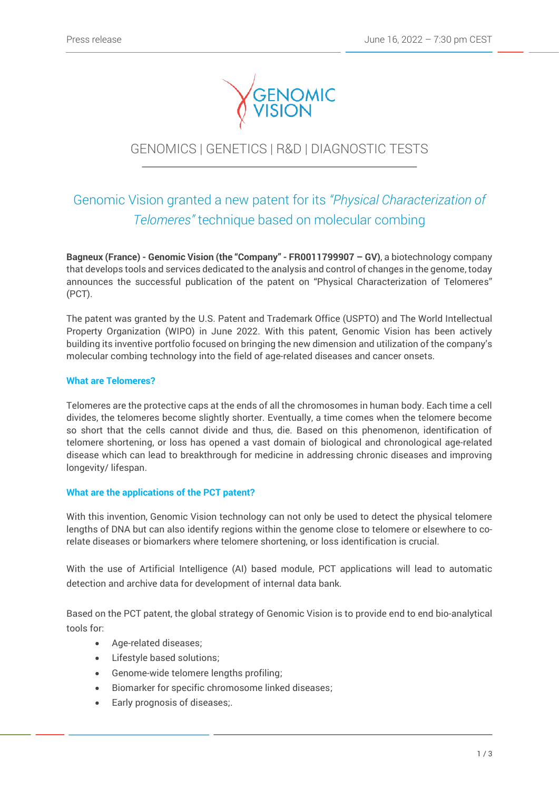

# GENOMICS | GENETICS | R&D | DIAGNOSTIC TESTS

j

# Genomic Vision granted a new patent for its *"Physical Characterization of Telomeres"* technique based on molecular combing

**Bagneux (France) - Genomic Vision (the "Company" - FR0011799907 – GV)**, a biotechnology company that develops tools and services dedicated to the analysis and control of changes in the genome, today announces the successful publication of the patent on "Physical Characterization of Telomeres" (PCT).

The patent was granted by the U.S. Patent and Trademark Office (USPTO) and The World Intellectual Property Organization (WIPO) in June 2022. With this patent, Genomic Vision has been actively building its inventive portfolio focused on bringing the new dimension and utilization of the company's molecular combing technology into the field of age-related diseases and cancer onsets.

## **What are Telomeres?**

Telomeres are the protective caps at the ends of all the chromosomes in human body. Each time a cell divides, the telomeres become slightly shorter. Eventually, a time comes when the telomere become so short that the cells cannot divide and thus, die. Based on this phenomenon, identification of telomere shortening, or loss has opened a vast domain of biological and chronological age-related disease which can lead to breakthrough for medicine in addressing chronic diseases and improving longevity/ lifespan.

### **What are the applications of the PCT patent?**

With this invention, Genomic Vision technology can not only be used to detect the physical telomere lengths of DNA but can also identify regions within the genome close to telomere or elsewhere to corelate diseases or biomarkers where telomere shortening, or loss identification is crucial.

With the use of Artificial Intelligence (AI) based module, PCT applications will lead to automatic detection and archive data for development of internal data bank.

Based on the PCT patent, the global strategy of Genomic Vision is to provide end to end bio-analytical tools for:

- Age-related diseases;
- Lifestyle based solutions;
- Genome-wide telomere lengths profiling;
- Biomarker for specific chromosome linked diseases;
- Early prognosis of diseases;.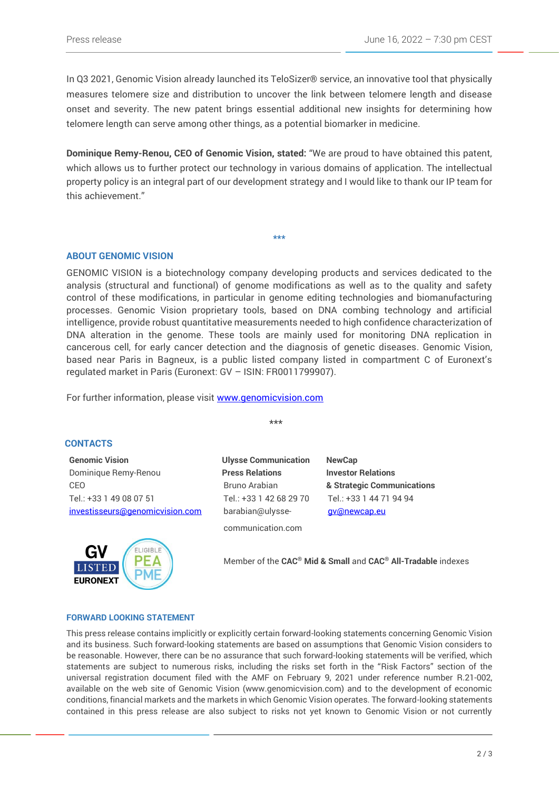In Q3 2021, Genomic Vision already launched its TeloSizer® service, an innovative tool that physically measures telomere size and distribution to uncover the link between telomere length and disease onset and severity. The new patent brings essential additional new insights for determining how telomere length can serve among other things, as a potential biomarker in medicine.

**Dominique Remy-Renou, CEO of Genomic Vision, stated:** "We are proud to have obtained this patent, which allows us to further protect our technology in various domains of application. The intellectual property policy is an integral part of our development strategy and I would like to thank our IP team for this achievement."

**\*\*\***

### **ABOUT GENOMIC VISION**

GENOMIC VISION is a biotechnology company developing products and services dedicated to the analysis (structural and functional) of genome modifications as well as to the quality and safety control of these modifications, in particular in genome editing technologies and biomanufacturing processes. Genomic Vision proprietary tools, based on DNA combing technology and artificial intelligence, provide robust quantitative measurements needed to high confidence characterization of DNA alteration in the genome. These tools are mainly used for monitoring DNA replication in cancerous cell, for early cancer detection and the diagnosis of genetic diseases. Genomic Vision, based near Paris in Bagneux, is a public listed company listed in compartment C of Euronext's regulated market in Paris (Euronext: GV – ISIN: FR0011799907).

For further information, please visit [www.genomicvision.com](http://www.genomicvision.com/) 

#### **CONTACTS**

**Genomic Vision** Dominique Remy-Renou CEO Tel.: +33 1 49 08 07 51 [investisseurs@genomicvision.com](mailto:investisseurs@genomicvision.com)



**Ulysse Communication Press Relations** Bruno Arabian Tel.: +33 1 42 68 29 70 barabian@ulyssecommunication.com

\*\*\*

**NewCap Investor Relations & Strategic Communications** Tel.: +33 1 44 71 94 94 [gv@newcap.eu](mailto:gv@newcap.eu)

Member of the **CAC® Mid & Small** and **CAC® All-Tradable** indexes

#### **FORWARD LOOKING STATEMENT**

This press release contains implicitly or explicitly certain forward-looking statements concerning Genomic Vision and its business. Such forward-looking statements are based on assumptions that Genomic Vision considers to be reasonable. However, there can be no assurance that such forward-looking statements will be verified, which statements are subject to numerous risks, including the risks set forth in the "Risk Factors" section of the universal registration document filed with the AMF on February 9, 2021 under reference number R.21-002, available on the web site of Genomic Vision (www.genomicvision.com) and to the development of economic conditions, financial markets and the markets in which Genomic Vision operates. The forward-looking statements contained in this press release are also subject to risks not yet known to Genomic Vision or not currently